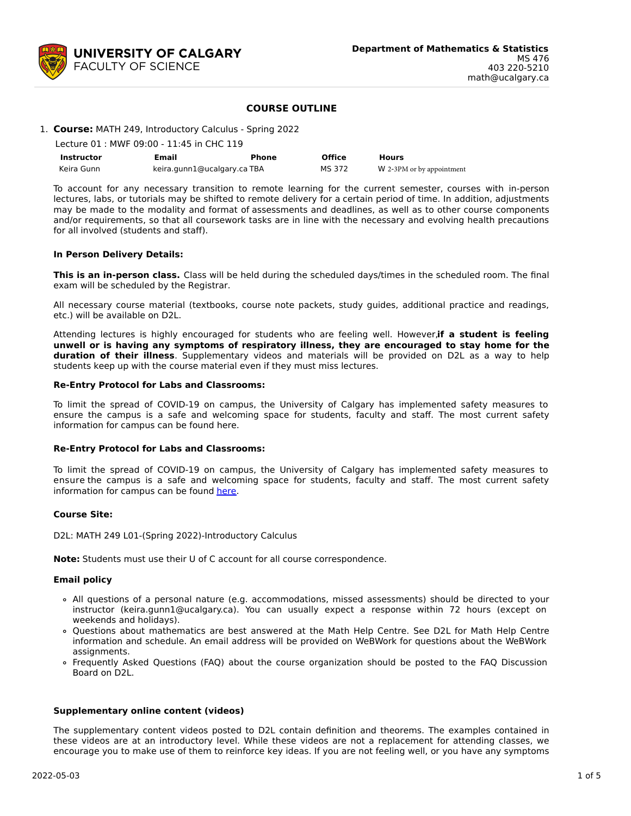

# **COURSE OUTLINE**

## 1. **Course:** MATH 249, Introductory Calculus - Spring 2022

| Lecture 01 : MWF 09:00 - 11:45 in CHC 119 |  |
|-------------------------------------------|--|
|                                           |  |

| <b>Instructor</b> | Email                       | <b>Phone</b> | <b>Office</b> | Hours                     |
|-------------------|-----------------------------|--------------|---------------|---------------------------|
| Keira Gunn        | keira.gunn1@ucalgary.ca TBA |              | MS 372        | W 2-3PM or by appointment |

To account for any necessary transition to remote learning for the current semester, courses with in-person lectures, labs, or tutorials may be shifted to remote delivery for a certain period of time. In addition, adjustments may be made to the modality and format of assessments and deadlines, as well as to other course components and/or requirements, so that all coursework tasks are in line with the necessary and evolving health precautions for all involved (students and staff).

### **In Person Delivery Details:**

**This is an in-person class.** Class will be held during the scheduled days/times in the scheduled room. The final exam will be scheduled by the Registrar.

All necessary course material (textbooks, course note packets, study guides, additional practice and readings, etc.) will be available on D2L.

Attending lectures is highly encouraged for students who are feeling well. However, **if a student is feeling unwell or is having any symptoms of respiratory illness, they are encouraged to stay home for the duration of their illness**. Supplementary videos and materials will be provided on D2L as a way to help students keep up with the course material even if they must miss lectures.

### **Re-Entry Protocol for Labs and Classrooms:**

To limit the spread of COVID-19 on campus, the University of Calgary has implemented safety measures to ensure the campus is a safe and welcoming space for students, faculty and staff. The most current safety information for campus can be found here.

# **Re-Entry Protocol for Labs and Classrooms:**

To limit the spread of COVID-19 on campus, the University of Calgary has implemented safety measures to ensure the campus is a safe and welcoming space for students, faculty and staff. The most current safety information for campus can be found [here](https://www.ucalgary.ca/risk/emergency-management/covid-19-response/return-campus-safety).

### **Course Site:**

D2L: MATH 249 L01-(Spring 2022)-Introductory Calculus

**Note:** Students must use their U of C account for all course correspondence.

### **Email policy**

- All questions of a personal nature (e.g. accommodations, missed assessments) should be directed to your instructor (keira.gunn1@ucalgary.ca). You can usually expect a response within 72 hours (except on weekends and holidays).
- Questions about mathematics are best answered at the Math Help Centre. See D2L for Math Help Centre information and schedule. An email address will be provided on WeBWork for questions about the WeBWork assignments.
- Frequently Asked Questions (FAQ) about the course organization should be posted to the FAQ Discussion Board on D2L.

### **Supplementary online content (videos)**

The supplementary content videos posted to D2L contain definition and theorems. The examples contained in these videos are at an introductory level. While these videos are not a replacement for attending classes, we encourage you to make use of them to reinforce key ideas. If you are not feeling well, or you have any symptoms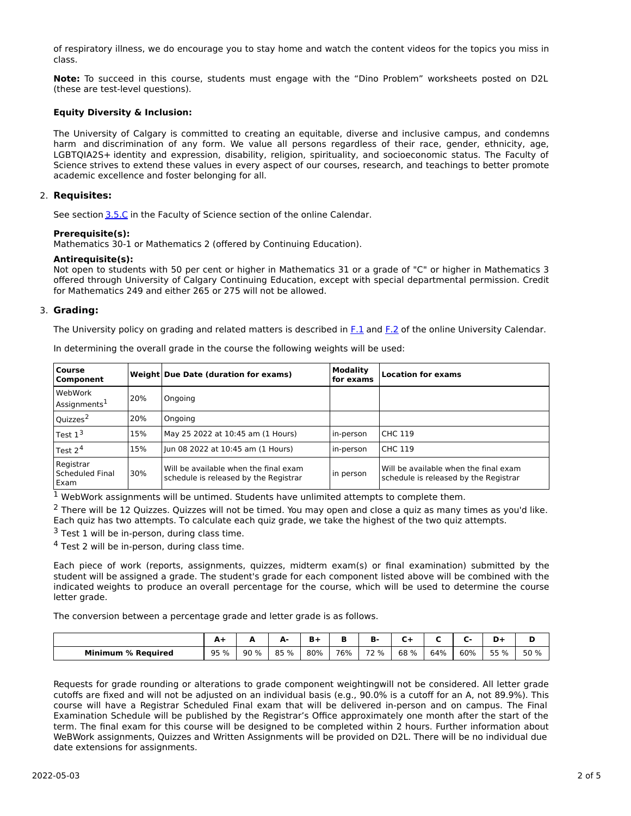of respiratory illness, we do encourage you to stay home and watch the content videos for the topics you miss in class.

**Note:** To succeed in this course, students must engage with the "Dino Problem" worksheets posted on D2L (these are test-level questions).

# **Equity Diversity & Inclusion:**

The University of Calgary is committed to creating an equitable, diverse and inclusive campus, and condemns harm and discrimination of any form. We value all persons regardless of their race, gender, ethnicity, age, LGBTQIA2S+ identity and expression, disability, religion, spirituality, and socioeconomic status. The Faculty of Science strives to extend these values in every aspect of our courses, research, and teachings to better promote academic excellence and foster belonging for all.

## 2. **Requisites:**

See section [3.5.C](http://www.ucalgary.ca/pubs/calendar/current/sc-3-5.html) in the Faculty of Science section of the online Calendar.

## **Prerequisite(s):**

Mathematics 30-1 or Mathematics 2 (offered by Continuing Education).

### **Antirequisite(s):**

Not open to students with 50 per cent or higher in Mathematics 31 or a grade of "C" or higher in Mathematics 3 offered through University of Calgary Continuing Education, except with special departmental permission. Credit for Mathematics 249 and either 265 or 275 will not be allowed.

## 3. **Grading:**

The University policy on grading and related matters is described in [F.1](http://www.ucalgary.ca/pubs/calendar/current/f-1.html) and [F.2](http://www.ucalgary.ca/pubs/calendar/current/f-2.html) of the online University Calendar.

| <b>Course</b><br>Component                  |     | Weight Due Date (duration for exams)                                           | <b>Modality</b><br>for exams | <b>Location for exams</b>                                                      |
|---------------------------------------------|-----|--------------------------------------------------------------------------------|------------------------------|--------------------------------------------------------------------------------|
| WebWork<br>Assignments <sup>1</sup>         | 20% | Ongoing                                                                        |                              |                                                                                |
| Quizzes <sup>2</sup>                        | 20% | Ongoing                                                                        |                              |                                                                                |
| Test $13$                                   | 15% | May 25 2022 at 10:45 am (1 Hours)                                              | in-person                    | <b>CHC 119</b>                                                                 |
| Test $24$                                   | 15% | Jun 08 2022 at 10:45 am (1 Hours)                                              | in-person                    | <b>CHC 119</b>                                                                 |
| Registrar<br><b>Scheduled Final</b><br>Exam | 30% | Will be available when the final exam<br>schedule is released by the Registrar | in person                    | Will be available when the final exam<br>schedule is released by the Registrar |

In determining the overall grade in the course the following weights will be used:

<sup>1</sup> WebWork assignments will be untimed. Students have unlimited attempts to complete them.

<sup>2</sup> There will be 12 Quizzes. Quizzes will not be timed. You may open and close a quiz as many times as you'd like. Each quiz has two attempts. To calculate each quiz grade, we take the highest of the two quiz attempts.

 $3$  Test 1 will be in-person, during class time.

<sup>4</sup> Test 2 will be in-person, during class time.

Each piece of work (reports, assignments, quizzes, midterm exam(s) or final examination) submitted by the student will be assigned a grade. The student's grade for each component listed above will be combined with the indicated weights to produce an overall percentage for the course, which will be used to determine the course letter grade.

The conversion between a percentage grade and letter grade is as follows.

|                              | $\blacksquare$<br>--- |      | л.<br>L. | Ð   |     | D.   | -       |     |     |         |      |
|------------------------------|-----------------------|------|----------|-----|-----|------|---------|-----|-----|---------|------|
| <b>Minimum</b><br>% Reauired | 95 %<br>ັບ            | 90 % | 85 %     | 80% | 76% | 72 % | 68<br>% | 64% | 60% | 55<br>% | 50 % |

Requests for grade rounding or alterations to grade component weightingwill not be considered. All letter grade cutoffs are fixed and will not be adjusted on an individual basis (e.g., 90.0% is a cutoff for an A, not 89.9%). This course will have a Registrar Scheduled Final exam that will be delivered in-person and on campus. The Final Examination Schedule will be published by the Registrar's Office approximately one month after the start of the term. The final exam for this course will be designed to be completed within 2 hours. Further information about WeBWork assignments, Quizzes and Written Assignments will be provided on D2L. There will be no individual due date extensions for assignments.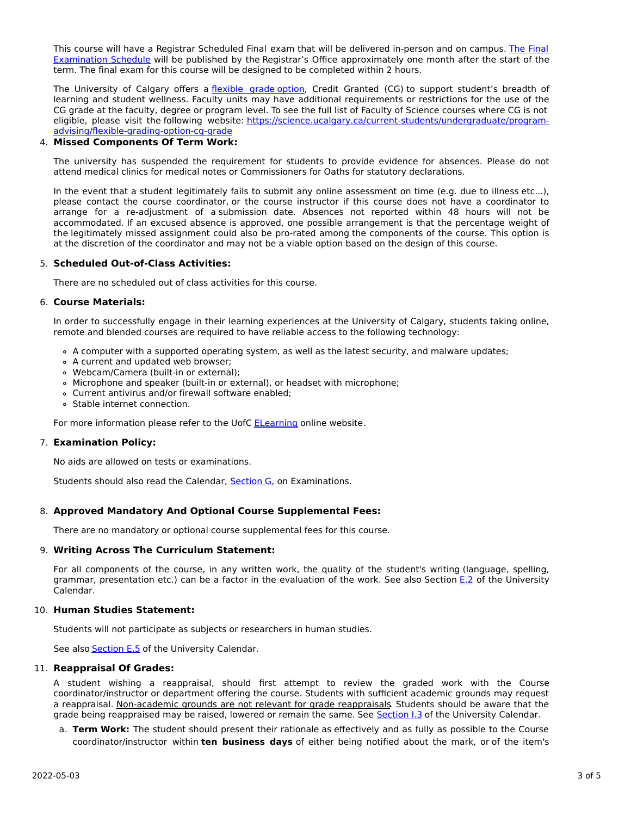This course will have a Registrar Scheduled Final exam that will be delivered in-person and on campus. The Final Examination Schedule will be published by the Registrar's Office [approximately](https://www.ucalgary.ca/registrar/exams) one month after the start of the term. The final exam for this course will be designed to be completed within 2 hours.

The University of Calgary offers a [flexible](https://www.ucalgary.ca/pubs/calendar/current/f-1-3.html) grade option, Credit Granted (CG) to support student's breadth of learning and student wellness. Faculty units may have additional requirements or restrictions for the use of the CG grade at the faculty, degree or program level. To see the full list of Faculty of Science courses where CG is not eligible, please visit the following website: [https://science.ucalgary.ca/current-students/undergraduate/program](https://science.ucalgary.ca/current-students/undergraduate/program-advising/flexible-grading-option-cg-grade)advising/flexible-grading-option-cg-grade

# 4. **Missed Components Of Term Work:**

The university has suspended the requirement for students to provide evidence for absences. Please do not attend medical clinics for medical notes or Commissioners for Oaths for statutory declarations.

In the event that a student legitimately fails to submit any online assessment on time (e.g. due to illness etc...), please contact the course coordinator, or the course instructor if this course does not have a coordinator to arrange for a re-adjustment of a submission date. Absences not reported within 48 hours will not be accommodated. If an excused absence is approved, one possible arrangement is that the percentage weight of the legitimately missed assignment could also be pro-rated among the components of the course. This option is at the discretion of the coordinator and may not be a viable option based on the design of this course.

# 5. **Scheduled Out-of-Class Activities:**

There are no scheduled out of class activities for this course.

## 6. **Course Materials:**

In order to successfully engage in their learning experiences at the University of Calgary, students taking online, remote and blended courses are required to have reliable access to the following technology:

- A computer with a supported operating system, as well as the latest security, and malware updates;
- A current and updated web browser;
- Webcam/Camera (built-in or external);
- Microphone and speaker (built-in or external), or headset with microphone;
- Current antivirus and/or firewall software enabled;
- Stable internet connection.

For more information please refer to the UofC [ELearning](https://elearn.ucalgary.ca/technology-requirements-for-students) online website.

# 7. **Examination Policy:**

No aids are allowed on tests or examinations.

Students should also read the Calendar, [Section](http://www.ucalgary.ca/pubs/calendar/current/g.html) G, on Examinations.

# 8. **Approved Mandatory And Optional Course Supplemental Fees:**

There are no mandatory or optional course supplemental fees for this course.

# 9. **Writing Across The Curriculum Statement:**

For all components of the course, in any written work, the quality of the student's writing (language, spelling, grammar, presentation etc.) can be a factor in the evaluation of the work. See also Section [E.2](http://www.ucalgary.ca/pubs/calendar/current/e-2.html) of the University Calendar.

# 10. **Human Studies Statement:**

Students will not participate as subjects or researchers in human studies.

See also [Section](http://www.ucalgary.ca/pubs/calendar/current/e-5.html) E.5 of the University Calendar.

### 11. **Reappraisal Of Grades:**

A student wishing a reappraisal, should first attempt to review the graded work with the Course coordinator/instructor or department offering the course. Students with sufficient academic grounds may request a reappraisal. Non-academic grounds are not relevant for grade reappraisals. Students should be aware that the grade being reappraised may be raised, lowered or remain the same. See [Section](http://www.ucalgary.ca/pubs/calendar/current/i-3.html) I.3 of the University Calendar.

a. **Term Work:** The student should present their rationale as effectively and as fully as possible to the Course coordinator/instructor within **ten business days** of either being notified about the mark, or of the item's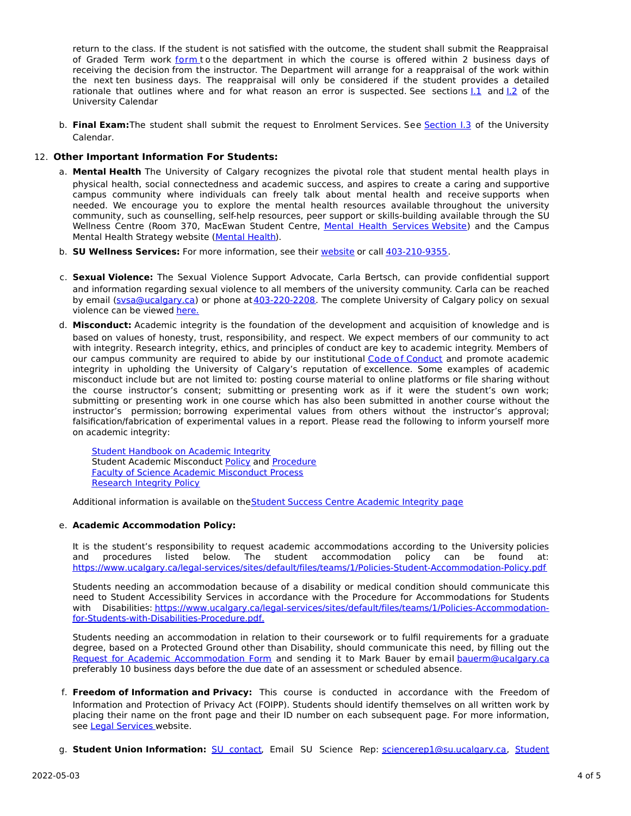return to the class. If the student is not satisfied with the outcome, the student shall submit the Reappraisal of Graded Term work [form](https://science.ucalgary.ca/sites/default/files/teams/1/Reappraisal_Termwork_2021.pdf) to the department in which the course is offered within 2 business days of receiving the decision from the instructor. The Department will arrange for a reappraisal of the work within the next ten business days. The reappraisal will only be considered if the student provides a detailed rationale that outlines where and for what reason an error is suspected. See sections  $1.1$  and  $1.2$  of the University Calendar

b. **Final Exam:**The student shall submit the request to Enrolment Services. See [Section](http://www.ucalgary.ca/pubs/calendar/current/i-3.html) I.3 of the University Calendar.

# 12. **Other Important Information For Students:**

- a. **Mental Health** The University of Calgary recognizes the pivotal role that student mental health plays in physical health, social connectedness and academic success, and aspires to create a caring and supportive campus community where individuals can freely talk about mental health and receive supports when needed. We encourage you to explore the mental health resources available throughout the university community, such as counselling, self-help resources, peer support or skills-building available through the SU Wellness Centre (Room 370, MacEwan Student Centre, Mental Health [Services](https://www.ucalgary.ca/wellnesscentre/services/mental-health-services) Website) and the Campus Mental Health Strategy website [\(Mental](http://www.ucalgary.ca/mentalhealth) Health).
- b. **SU Wellness Services:** For more information, see their [website](http://www.ucalgary.ca/wellnesscentre) or call [403-210-9355](tel:4032109355).
- c. **Sexual Violence:** The Sexual Violence Support Advocate, Carla Bertsch, can provide confidential support and information regarding sexual violence to all members of the university community. Carla can be reached by email [\(svsa@ucalgary.ca](mailto:svsa@ucalgary.ca)) or phone at [403-220-2208](tel:4032202208). The complete University of Calgary policy on sexual violence can be viewed [here.](https://www.ucalgary.ca/legal-services/sites/default/files/teams/1/Policies-Sexual-and-Gender-Based-Violence-Policy.pdf)
- d. **Misconduct:** Academic integrity is the foundation of the development and acquisition of knowledge and is based on values of honesty, trust, responsibility, and respect. We expect members of our community to act with integrity. Research integrity, ethics, and principles of conduct are key to academic integrity. Members of our campus community are required to abide by our institutional Code of [Conduct](https://www.ucalgary.ca/legal-services/sites/default/files/teams/1/Policies-Code-of-Conduct.pdf) and promote academic integrity in upholding the University of Calgary's reputation of excellence. Some examples of academic misconduct include but are not limited to: posting course material to online platforms or file sharing without the course instructor's consent; submitting or presenting work as if it were the student's own work; submitting or presenting work in one course which has also been submitted in another course without the instructor's permission; borrowing experimental values from others without the instructor's approval; falsification/fabrication of experimental values in a report. Please read the following to inform yourself more on academic integrity:

Student [Handbook](https://www.ucalgary.ca/live-uc-ucalgary-site/sites/default/files/teams/9/AI-Student-handbook-1.pdf) on Academic Integrity Student Academic Misconduct [Policy](https://www.ucalgary.ca/legal-services/sites/default/files/teams/1/Policies-Student-Academic-Misconduct-Policy.pdf) and [Procedure](https://www.ucalgary.ca/legal-services/sites/default/files/teams/1/Policies-Student-Academic-Misconduct-Procedure.pdf) Faculty of Science Academic [Misconduct](https://science.ucalgary.ca/current-students/undergraduate/program-advising) Process [Research](https://www.ucalgary.ca/legal-services/sites/default/files/teams/1/Policies-Research-Integrity-Policy.pdf) Integrity Policy

Additional information is available on the Student Success Centre [Academic](https://ucalgary.ca/student-services/student-success/learning/academic-integrity) Integrity page

# e. **Academic Accommodation Policy:**

It is the student's responsibility to request academic accommodations according to the University policies and procedures listed below. The student accommodation policy can be found at: <https://www.ucalgary.ca/legal-services/sites/default/files/teams/1/Policies-Student-Accommodation-Policy.pdf>

Students needing an accommodation because of a disability or medical condition should communicate this need to Student Accessibility Services in accordance with the Procedure for Accommodations for Students with Disabilities: [https://www.ucalgary.ca/legal-services/sites/default/files/teams/1/Policies-Accommodation](https://www.ucalgary.ca/legal-services/sites/default/files/teams/1/Policies-Accommodation-for-Students-with-Disabilities-Procedure.pdf)for-Students-with-Disabilities-Procedure.pdf.

Students needing an accommodation in relation to their coursework or to fulfil requirements for a graduate degree, based on a Protected Ground other than Disability, should communicate this need, by filling out the Request for Academic [Accommodation](https://science.ucalgary.ca/sites/default/files/teams/1/request-accommodation-academic-courses.pdf) Form and sending it to Mark Bauer by email [bauerm@ucalgary.ca](mailto:bauerm@ucalgary.ca) preferably 10 business days before the due date of an assessment or scheduled absence.

- f. **Freedom of Information and Privacy:** This course is conducted in accordance with the Freedom of Information and Protection of Privacy Act (FOIPP). Students should identify themselves on all written work by placing their name on the front page and their ID number on each subsequent page. For more information, see Legal [Services](https://www.ucalgary.ca/legal-services/access-information-privacy) website.
- g. **Student Union Information:** SU [contact,](http://www.su.ucalgary.ca/contact) Email SU Science Rep: [sciencerep1@su.ucalgary.ca,](https://www.ucalgary.ca/student-services/ombuds) Student